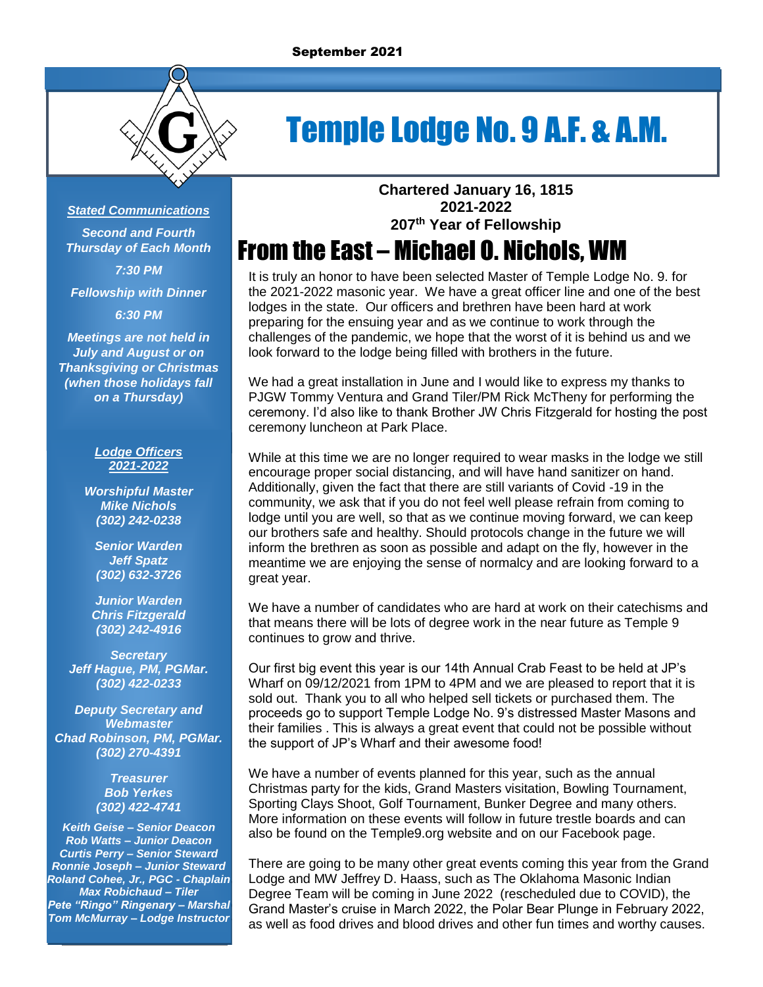

# Temple Lodge No. 9 A.F. & A.M.

#### *Stated Communications*

*Second and Fourth Thursday of Each Month 7:30 PM*

*Fellowship with Dinner*

*6:30 PM*

*Meetings are not held in July and August or on Thanksgiving or Christmas (when those holidays fall on a Thursday)*

#### *Lodge Officers 2021-2022*

*Worshipful Master Mike Nichols (302) 242-0238*

*Senior Warden Jeff Spatz (302) 632-3726*

*Junior Warden Chris Fitzgerald (302) 242-4916*

*Secretary Jeff Hague, PM, PGMar. (302) 422-0233*

*Deputy Secretary and Webmaster Chad Robinson, PM, PGMar. (302) 270-4391*

> *Treasurer Bob Yerkes (302) 422-4741*

*Keith Geise – Senior Deacon Rob Watts – Junior Deacon Curtis Perry – Senior Steward Ronnie Joseph – Junior Steward Roland Cohee, Jr., PGC - Chaplain Max Robichaud – Tiler Pete "Ringo" Ringenary – Marshal Tom McMurray – Lodge Instructor* **Chartered January 16, 1815 2021-2022 207 th Year of Fellowship**

# From the East – Michael O. Nichols, WM

It is truly an honor to have been selected Master of Temple Lodge No. 9. for the 2021-2022 masonic year. We have a great officer line and one of the best lodges in the state. Our officers and brethren have been hard at work preparing for the ensuing year and as we continue to work through the challenges of the pandemic, we hope that the worst of it is behind us and we look forward to the lodge being filled with brothers in the future.

We had a great installation in June and I would like to express my thanks to PJGW Tommy Ventura and Grand Tiler/PM Rick McTheny for performing the ceremony. I'd also like to thank Brother JW Chris Fitzgerald for hosting the post ceremony luncheon at Park Place.

While at this time we are no longer required to wear masks in the lodge we still encourage proper social distancing, and will have hand sanitizer on hand. Additionally, given the fact that there are still variants of Covid -19 in the community, we ask that if you do not feel well please refrain from coming to lodge until you are well, so that as we continue moving forward, we can keep our brothers safe and healthy. Should protocols change in the future we will inform the brethren as soon as possible and adapt on the fly, however in the meantime we are enjoying the sense of normalcy and are looking forward to a great year.

We have a number of candidates who are hard at work on their catechisms and that means there will be lots of degree work in the near future as Temple 9 continues to grow and thrive.

Our first big event this year is our 14th Annual Crab Feast to be held at JP's Wharf on 09/12/2021 from 1PM to 4PM and we are pleased to report that it is sold out. Thank you to all who helped sell tickets or purchased them. The proceeds go to support Temple Lodge No. 9's distressed Master Masons and their families . This is always a great event that could not be possible without the support of JP's Wharf and their awesome food!

We have a number of events planned for this year, such as the annual Christmas party for the kids, Grand Masters visitation, Bowling Tournament, Sporting Clays Shoot, Golf Tournament, Bunker Degree and many others. More information on these events will follow in future trestle boards and can also be found on the Temple9.org website and on our Facebook page.

There are going to be many other great events coming this year from the Grand Lodge and MW Jeffrey D. Haass, such as The Oklahoma Masonic Indian Degree Team will be coming in June 2022 (rescheduled due to COVID), the Grand Master's cruise in March 2022, the Polar Bear Plunge in February 2022, as well as food drives and blood drives and other fun times and worthy causes.